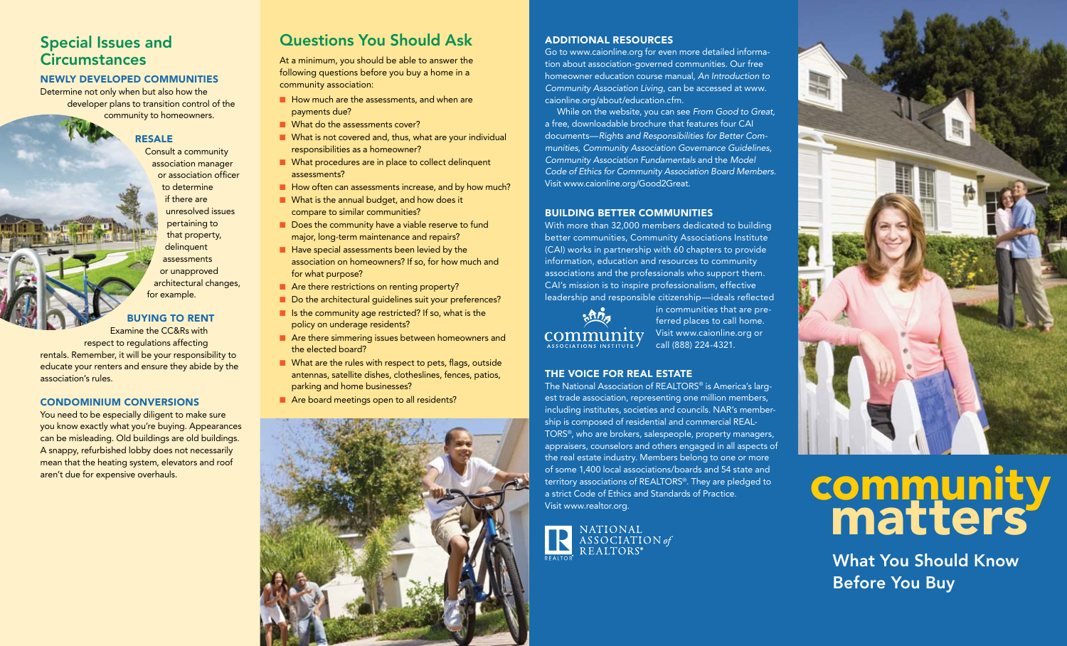## Special Issues and **Circumstances**

## Newly developed communities

Determine not only when but also how the developer plans to transition control of the community to homeowners.

**RESALE** 

Consult a community association manager or association officer to determine if there are unresolved issues pertaining to that property, delinquent assessments or unapproved architectural changes, for example.

buying to rent

Examine the CC&Rs with respect to regulations affecting rentals. Remember, it will be your responsibility to educate your renters and ensure they abide by the association's rules.

#### condominium conversions

You need to be especially diligent to make sure you know exactly what you're buying. Appearances can be misleading. Old buildings are old buildings. A snappy, refurbished lobby does not necessarily mean that the heating system, elevators and roof aren't due for expensive overhauls.

# Questions You Should Ask

At a minimum, you should be able to answer the following questions before you buy a home in a community association:

- $\blacksquare$  How much are the assessments, and when are payments due?
- **n** What do the assessments cover?
- $\blacksquare$  What is not covered and, thus, what are your individual responsibilities as a homeowner?
- **n** What procedures are in place to collect delinquent assessments?
- $\blacksquare$  How often can assessments increase, and by how much?
- $\blacksquare$  What is the annual budget, and how does it compare to similar communities?
	- Does the community have a viable reserve to fund major, long-term maintenance and repairs?
	- $\blacksquare$  Have special assessments been levied by the association on homeowners? If so, for how much and for what purpose?
	- $\blacksquare$  Are there restrictions on renting property?
	- Do the architectural guidelines suit your preferences?
	- $\blacksquare$  Is the community age restricted? If so, what is the policy on underage residents?
	- **n** Are there simmering issues between homeowners and the elected board?
	- $\blacksquare$  What are the rules with respect to pets, flags, outside antennas, satellite dishes, clotheslines, fences, patios, parking and home businesses?
	- Are board meetings open to all residents?



## additional resources

Go to www.caionline.org for even more detailed information about association-governed communities. Our free homeowner education course manual, *An Introduction to Community Association Living*, can be accessed at www. caionline.org/about/education.cfm.

While on the website, you can see *From Good to Great,* a free, downloadable brochure that features four CAI documents—*Rights and Responsibilities for Better Communities, Community Association Governance Guidelines, Community Association Fundamentals* and the *Model Code of Ethics for Community Association Board Members.*  Visit www.caionline.org/Good2Great.

#### BUILDING BETTER COMMUNITIES

With more than 32,000 members dedicated to building better communities, Community Associations Institute (CAI) works in partnership with 60 chapters to provide information, education and resources to community associations and the professionals who support them. CAI's mission is to inspire professionalism, effective leadership and responsible citizenship—ideals reflected



in communities that are preferred places to call home. Visit www.caionline.org or call (888) 224-4321.

### The Voice for Real Estate

The National Association of REALTORS® is America's largest trade association, representing one million members, including institutes, societies and councils. NAR's membership is composed of residential and commercial REAL-TORS®, who are brokers, salespeople, property managers, appraisers, counselors and others engaged in all aspects of the real estate industry. Members belong to one or more of some 1,400 local associations/boards and 54 state and territory associations of REALTORS®. They are pledged to a strict Code of Ethics and Standards of Practice. Visit www.realtor.org.





# community matters

What You Should Know Before You Buy